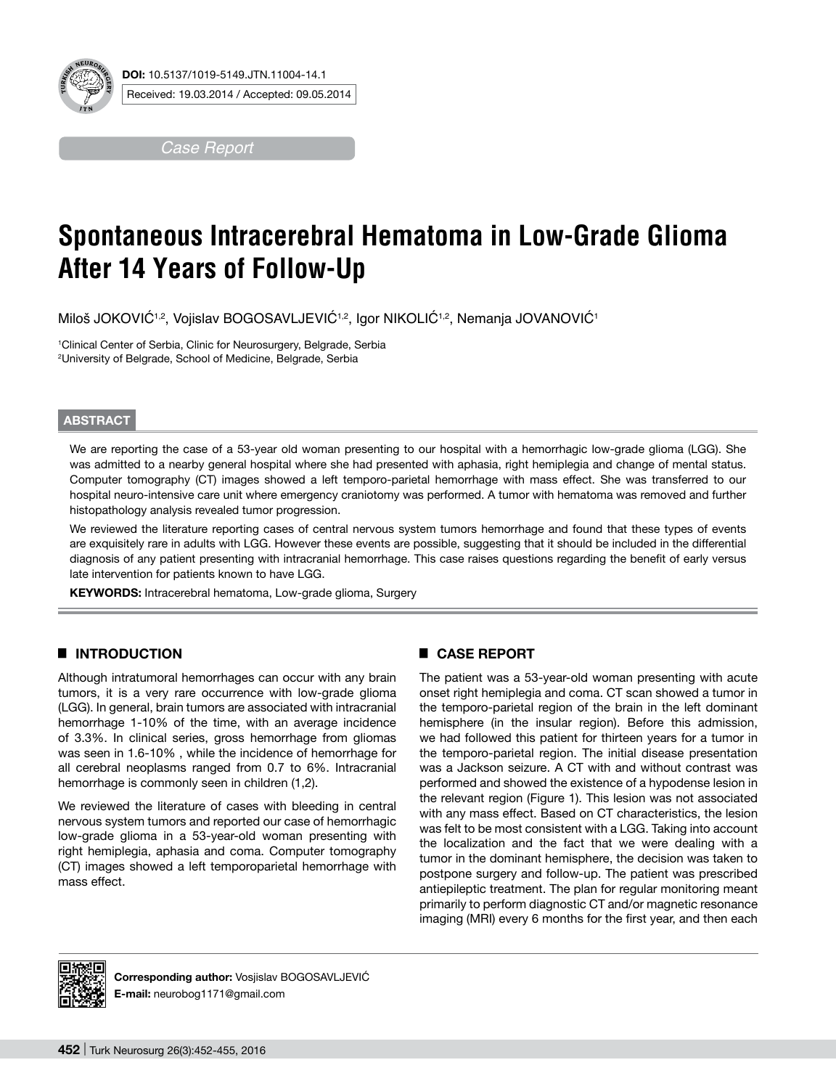

*Case Report*

# **Spontaneous Intracerebral Hematoma in Low-Grade Glioma After 14 Years of Follow-Up**

Miloš JOKOVIĆ<sup>1,2</sup>, Vojislav BOGOSAVLJEVIĆ<sup>1,2</sup>, Igor NIKOLIĆ<sup>1,2</sup>, Nemanja JOVANOVIĆ<sup>1</sup>

1 Clinical Center of Serbia, Clinic for Neurosurgery, Belgrade, Serbia 2 University of Belgrade, School of Medicine, Belgrade, Serbia

#### **ABSTRACT**

We are reporting the case of a 53-year old woman presenting to our hospital with a hemorrhagic low-grade glioma (LGG). She was admitted to a nearby general hospital where she had presented with aphasia, right hemiplegia and change of mental status. Computer tomography (CT) images showed a left temporo-parietal hemorrhage with mass effect. She was transferred to our hospital neuro-intensive care unit where emergency craniotomy was performed. A tumor with hematoma was removed and further histopathology analysis revealed tumor progression.

We reviewed the literature reporting cases of central nervous system tumors hemorrhage and found that these types of events are exquisitely rare in adults with LGG. However these events are possible, suggesting that it should be included in the differential diagnosis of any patient presenting with intracranial hemorrhage. This case raises questions regarding the benefit of early versus late intervention for patients known to have LGG.

KEYWORDS: Intracerebral hematoma, Low-grade glioma, Surgery

### █ **Introduction**

Although intratumoral hemorrhages can occur with any brain tumors, it is a very rare occurrence with low-grade glioma (LGG). In general, brain tumors are associated with intracranial hemorrhage 1-10% of the time, with an average incidence of 3.3%. In clinical series, gross hemorrhage from gliomas was seen in 1.6-10% , while the incidence of hemorrhage for all cerebral neoplasms ranged from 0.7 to 6%. Intracranial hemorrhage is commonly seen in children (1,2).

We reviewed the literature of cases with bleeding in central nervous system tumors and reported our case of hemorrhagic low-grade glioma in a 53-year-old woman presenting with right hemiplegia, aphasia and coma. Computer tomography (CT) images showed a left temporoparietal hemorrhage with mass effect.

### █ **Case report**

The patient was a 53-year-old woman presenting with acute onset right hemiplegia and coma. CT scan showed a tumor in the temporo-parietal region of the brain in the left dominant hemisphere (in the insular region). Before this admission, we had followed this patient for thirteen years for a tumor in the temporo-parietal region. The initial disease presentation was a Jackson seizure. A CT with and without contrast was performed and showed the existence of a hypodense lesion in the relevant region (Figure 1). This lesion was not associated with any mass effect. Based on CT characteristics, the lesion was felt to be most consistent with a LGG. Taking into account the localization and the fact that we were dealing with a tumor in the dominant hemisphere, the decision was taken to postpone surgery and follow-up. The patient was prescribed antiepileptic treatment. The plan for regular monitoring meant primarily to perform diagnostic CT and/or magnetic resonance imaging (MRI) every 6 months for the first year, and then each



Corresponding author: Vosjislav BOGOSAVLJEVIĆ **E-mail:** neurobog1171@gmail.com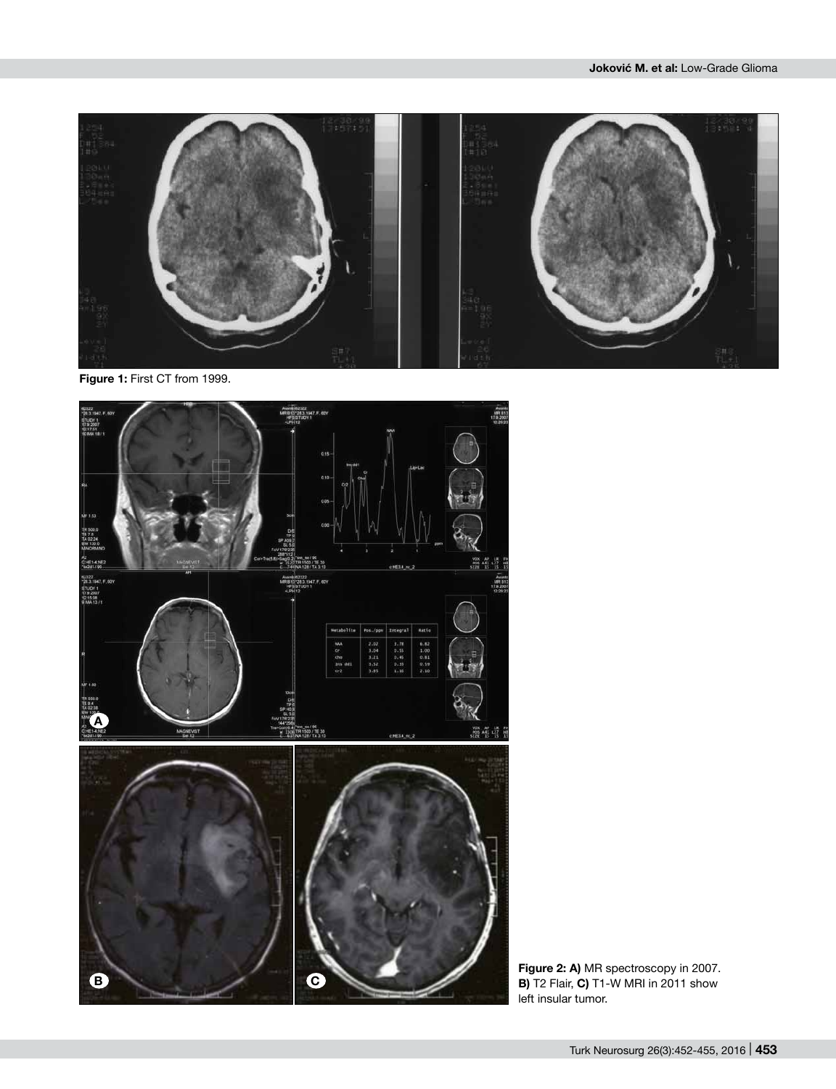

**Figure 1:** First CT from 1999.



**Figure 2: A)** MR spectroscopy in 2007. **B)** T2 Flair, **C)** T1-W MRI in 2011 show left insular tumor.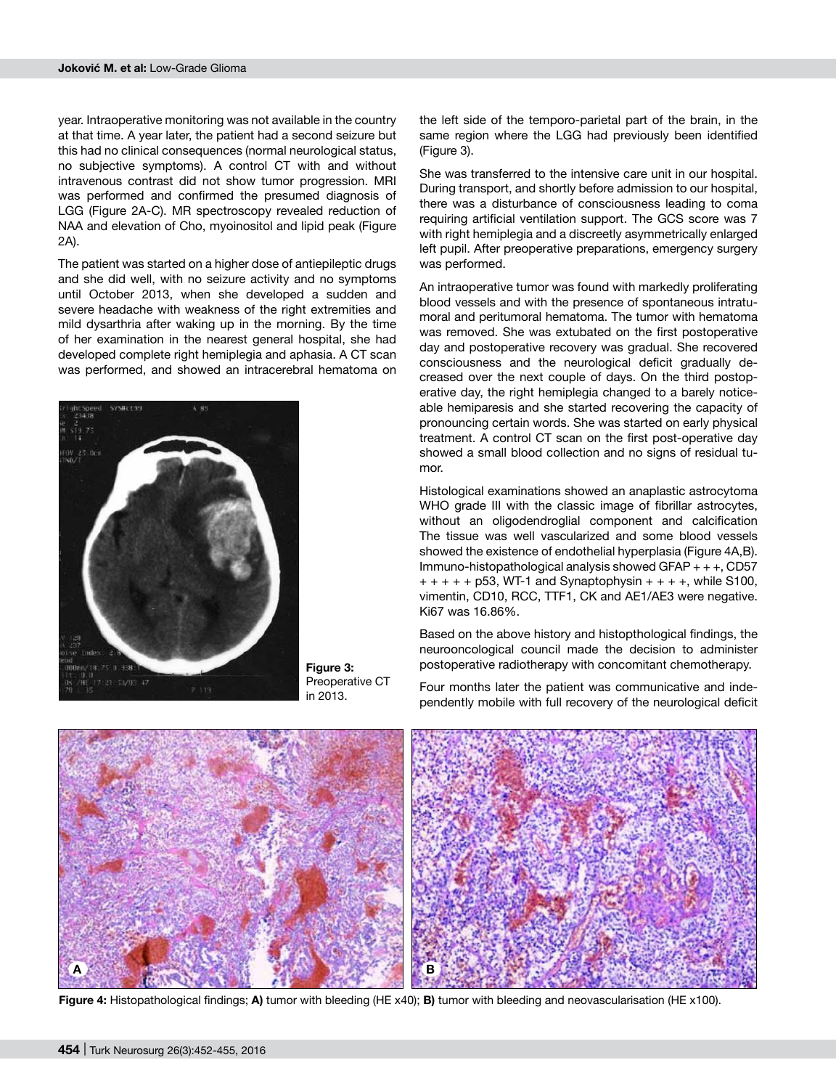year. Intraoperative monitoring was not available in the country at that time. A year later, the patient had a second seizure but this had no clinical consequences (normal neurological status, no subjective symptoms). A control CT with and without intravenous contrast did not show tumor progression. MRI was performed and confirmed the presumed diagnosis of LGG (Figure 2A-C). MR spectroscopy revealed reduction of NAA and elevation of Cho, myoinositol and lipid peak (Figure 2A).

The patient was started on a higher dose of antiepileptic drugs and she did well, with no seizure activity and no symptoms until October 2013, when she developed a sudden and severe headache with weakness of the right extremities and mild dysarthria after waking up in the morning. By the time of her examination in the nearest general hospital, she had developed complete right hemiplegia and aphasia. A CT scan was performed, and showed an intracerebral hematoma on



**Figure 3:**  Preoperative CT in 2013.

the left side of the temporo-parietal part of the brain, in the same region where the LGG had previously been identified (Figure 3).

She was transferred to the intensive care unit in our hospital. During transport, and shortly before admission to our hospital, there was a disturbance of consciousness leading to coma requiring artificial ventilation support. The GCS score was 7 with right hemiplegia and a discreetly asymmetrically enlarged left pupil. After preoperative preparations, emergency surgery was performed.

An intraoperative tumor was found with markedly proliferating blood vessels and with the presence of spontaneous intratumoral and peritumoral hematoma. The tumor with hematoma was removed. She was extubated on the first postoperative day and postoperative recovery was gradual. She recovered consciousness and the neurological deficit gradually decreased over the next couple of days. On the third postoperative day, the right hemiplegia changed to a barely noticeable hemiparesis and she started recovering the capacity of pronouncing certain words. She was started on early physical treatment. A control CT scan on the first post-operative day showed a small blood collection and no signs of residual tumor.

Histological examinations showed an anaplastic astrocytoma WHO grade III with the classic image of fibrillar astrocytes, without an oligodendroglial component and calcification The tissue was well vascularized and some blood vessels showed the existence of endothelial hyperplasia (Figure 4A,B). Immuno-histopathological analysis showed GFAP + + +, CD57  $+ + + + +$  p53, WT-1 and Synaptophysin  $+ + + +$ , while S100, vimentin, CD10, RCC, TTF1, CK and AE1/AE3 were negative. Ki67 was 16.86%.

Based on the above history and histopthological findings, the neurooncological council made the decision to administer postoperative radiotherapy with concomitant chemotherapy.

Four months later the patient was communicative and independently mobile with full recovery of the neurological deficit



**Figure 4:** Histopathological findings; **A)** tumor with bleeding (HE x40); **B)** tumor with bleeding and neovascularisation (HE x100).